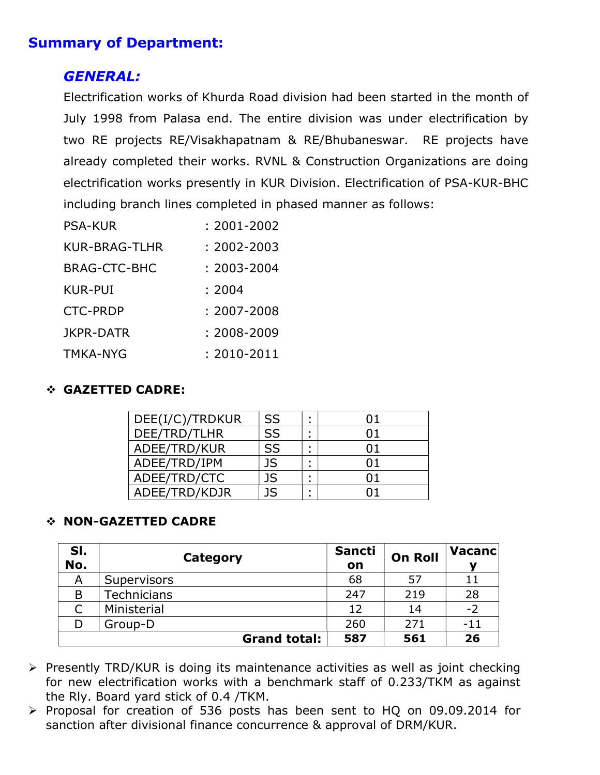# Summary of Department:

# GENERAL:

Electrification works of Khurda Road division had been started in the month of July 1998 from Palasa end. The entire division was under electrification by two RE projects RE/Visakhapatnam & RE/Bhubaneswar. RE projects have already completed their works. RVNL & Construction Organizations are doing electrification works presently in KUR Division. Electrification of PSA-KUR-BHC including branch lines completed in phased manner as follows:

| <b>PSA-KUR</b>      | $: 2001 - 2002$ |  |  |
|---------------------|-----------------|--|--|
| KUR-BRAG-TLHR       | : 2002-2003     |  |  |
| <b>BRAG-CTC-BHC</b> | $: 2003 - 2004$ |  |  |
| KUR-PUI             | : 2004          |  |  |
| <b>CTC-PRDP</b>     | $: 2007 - 2008$ |  |  |
| JKPR-DATR           | $: 2008 - 2009$ |  |  |
| TMKA-NYG            | $: 2010 - 2011$ |  |  |

# GAZETTED CADRE:

| DEE(I/C)/TRDKUR | <b>SS</b> | 01 |
|-----------------|-----------|----|
| DEE/TRD/TLHR    | SS        | 01 |
| ADEE/TRD/KUR    | <b>SS</b> | 01 |
| ADEE/TRD/IPM    | <b>JS</b> | በ1 |
| ADEE/TRD/CTC    | <b>JS</b> | በ1 |
| ADEE/TRD/KDJR   | 1S        |    |

## NON-GAZETTED CADRE

| SI.<br>No. | Category            | <b>Sancti</b><br>on | <b>On Roll</b> | Vacancl |
|------------|---------------------|---------------------|----------------|---------|
| Α          | Supervisors         | 68                  | 57             | 11      |
| B          | Technicians         | 247                 | 219            | 28      |
|            | Ministerial         | 12                  | 14             | $-2$    |
|            | Group-D             | 260                 | 271            | $-11$   |
|            | <b>Grand total:</b> | 587                 | 561            | 26      |

 $\triangleright$  Presently TRD/KUR is doing its maintenance activities as well as joint checking for new electrification works with a benchmark staff of 0.233/TKM as against the Rly. Board yard stick of 0.4 /TKM.

 Proposal for creation of 536 posts has been sent to HQ on 09.09.2014 for sanction after divisional finance concurrence & approval of DRM/KUR.